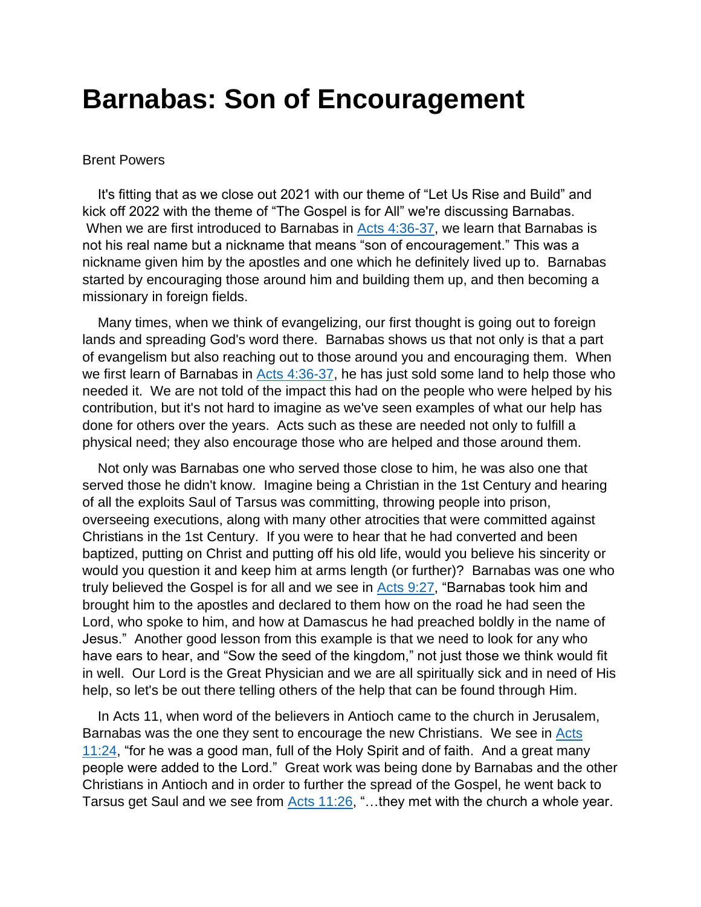## **Barnabas: Son of Encouragement**

## Brent Powers

 It's fitting that as we close out 2021 with our theme of "Let Us Rise and Build" and kick off 2022 with the theme of "The Gospel is for All" we're discussing Barnabas. When we are first introduced to Barnabas in [Acts 4:36-37,](https://biblia.com/bible/nkjv/Acts%204.36-37) we learn that Barnabas is not his real name but a nickname that means "son of encouragement." This was a nickname given him by the apostles and one which he definitely lived up to. Barnabas started by encouraging those around him and building them up, and then becoming a missionary in foreign fields.

 Many times, when we think of evangelizing, our first thought is going out to foreign lands and spreading God's word there. Barnabas shows us that not only is that a part of evangelism but also reaching out to those around you and encouraging them. When we first learn of Barnabas in  $Acts$  4:36-37, he has just sold some land to help those who needed it. We are not told of the impact this had on the people who were helped by his contribution, but it's not hard to imagine as we've seen examples of what our help has done for others over the years. Acts such as these are needed not only to fulfill a physical need; they also encourage those who are helped and those around them.

 Not only was Barnabas one who served those close to him, he was also one that served those he didn't know. Imagine being a Christian in the 1st Century and hearing of all the exploits Saul of Tarsus was committing, throwing people into prison, overseeing executions, along with many other atrocities that were committed against Christians in the 1st Century. If you were to hear that he had converted and been baptized, putting on Christ and putting off his old life, would you believe his sincerity or would you question it and keep him at arms length (or further)? Barnabas was one who truly believed the Gospel is for all and we see in [Acts 9:27,](https://biblia.com/bible/nkjv/Acts%209.27) "Barnabas took him and brought him to the apostles and declared to them how on the road he had seen the Lord, who spoke to him, and how at Damascus he had preached boldly in the name of Jesus." Another good lesson from this example is that we need to look for any who have ears to hear, and "Sow the seed of the kingdom," not just those we think would fit in well. Our Lord is the Great Physician and we are all spiritually sick and in need of His help, so let's be out there telling others of the help that can be found through Him.

 In Acts 11, when word of the believers in Antioch came to the church in Jerusalem, Barnabas was the one they sent to encourage the new Christians. We see in [Acts](https://biblia.com/bible/nkjv/Acts%2011.24)  [11:24,](https://biblia.com/bible/nkjv/Acts%2011.24) "for he was a good man, full of the Holy Spirit and of faith. And a great many people were added to the Lord." Great work was being done by Barnabas and the other Christians in Antioch and in order to further the spread of the Gospel, he went back to Tarsus get Saul and we see from [Acts 11:26,](https://biblia.com/bible/nkjv/Acts%2011.26) "...they met with the church a whole year.